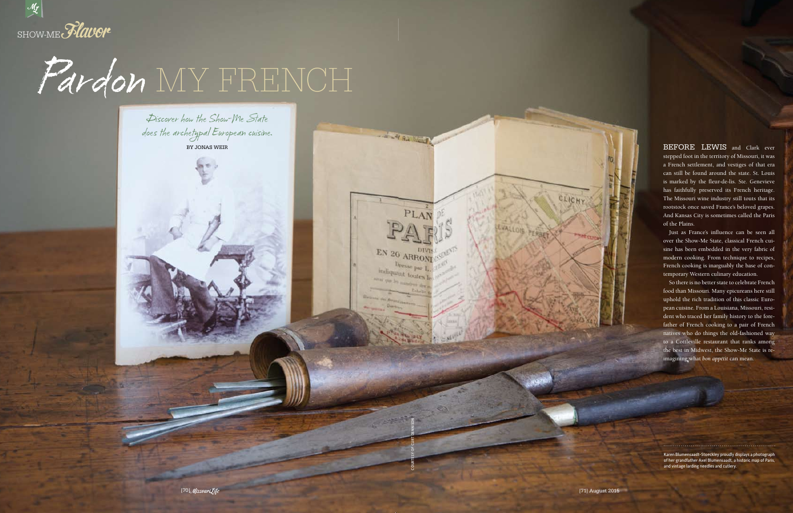## Pardon MY FRENCH



Discover how the Show-Me State does the archetypal European cuisine. BY JONAS WEIR

CLICHY

Karen Blumensaadt-Stoeckley proudly displays a photograph of her grandfather Axel Blumensaadt, a historic map of Paris, and vintage larding needles and cutlery.

COURTESY OF CURT DENNISON

**PARTIES AND REAL PROPERTY** 

EN 20 ARRONI

Dresse par I. indiquant toutes

BEFORE LEWIS and Clark ever stepped foot in the territory of Missouri, it was a French settlement, and vestiges of that era can still be found around the state. St. Louis is marked by the fleur-de-lis. Ste. Genevieve has faithfully preserved its French heritage. The Missouri wine industry still touts that its rootstock once saved France's beloved grapes. And Kansas City is sometimes called the Paris of the Plains.

Just as France's influence can be seen all over the Show-Me State, classical French cuisine has been embedded in the very fabric of modern cooking. From technique to recipes, French cooking is inarguably the base of contemporary Western culinary education.

So there is no better state to celebrate French food than Missouri. Many epicureans here still uphold the rich tradition of this classic European cuisine. From a Louisiana, Missouri, resident who traced her family history to the forefather of French cooking to a pair of French natives who do things the old-fashioned way to a Cottleville restaurant that ranks among the best in Midwest, the Show-Me State is reimagining what *bon appétit* can mean.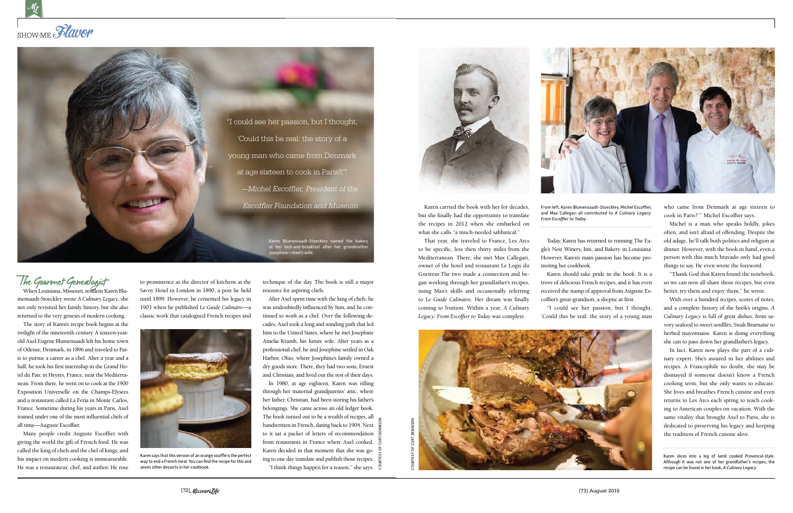

## The Gourmet Genealogist

When Louisiana, Missouri, resident Karen Blumensaadt-Stoeckley wrote *A Culinary Legacy*, she not only revisited her family history, but she also returned to the very genesis of modern cooking.

The story of Karen's recipe book begins at the twilight of the nineteenth century. A sixteen-yearold Axel Eugene Blumensaadt left his home town of Odense, Denmark, in 1896 and traveled to Paris to pursue a career as a chef. After a year and a half, he took his first internship in the Grand Hotel du Parc in Heyres, France, near the Mediterranean. From there, he went on to cook at the 1900 Exposition Universelle on the Champs-Elysees and a restaurant called La Feria in Monte Carlos, France. Sometime during his years in Paris, Axel trained under one of the most influential chefs of all time—Auguste Escoffier.

Many people credit Auguste Escoffier with giving the world the gift of French food. He was called the king of chefs and the chef of kings, and his impact on modern cooking is immeasurable. He was a restaurateur, chef, and author. He rose

to prominence as the director of kitchens at the Savoy Hotel in London in 1890, a post he held until 1899. However, he cemented his legacy in 1903 when he published *Le Guide Culinaire*—a classic work that catalogued French recipes and

technique of the day. The book is still a major resource for aspiring chefs.

After Axel spent time with the king of chefs, he was undoubtedly influenced by him, and he continued to work as a chef. Over the following decades, Axel took a long and winding path that led him to the United States, where he met Josephine Amelia Kramb, his future wife. After years as a professional chef, he and Josephine settled in Oak Harbor, Ohio, where Josephine's family owned a dry goods store. There, they had two sons, Ernest and Christian, and lived out the rest of their days.

In 1980, at age eighteen, Karen was rifling through her maternal grandparents' attic, where her father, Christian, had been storing his father's belongings. She came across an old ledger book. The book turned out to be a wealth of recipes, all handwritten in French, dating back to 1904. Next to it sat a packet of letters of recommendation from restaurants in France where Axel cooked. Karen decided in that moment that she was going to one day translate and publish those recipes. "I think things happen for a reason," she says.





Karen says that this version of an orange soufflé is the perfect way to end a French meal. You can find the recipe for this and seven other desserts in her cookbook.

COURTESY OF CURT DENNISON



Karen carried the book with her for decades, but she finally had the opportunity to translate the recipes in 2012 when she embarked on what she calls "a much-needed sabbatical."

That year, she traveled to France, Les Arcs to be specific, less then thirty miles from the Mediterranean. There, she met Max Callegari, owner of the hotel and restaurant Le Logis du Guetteur.The two made a connection and began working through her grandfather's recipes, using Max's skills and occasionally referring to *Le Guide Culinair*e. Her dream was finally coming to fruition. Within a year, *A Culinary Legacy: From Escoffier to Today* was complete.



Today, Karen has returned to running The Eagle's Nest Winery, Inn, and Bakery in Louisiana. However, Karen's main passion has become pro-

moting her cookbook.

Karen should take pride in the book. It is a trove of delicious French recipes, and it has even received the stamp of approval from Auguste Escoffier's great-grandson, a skeptic at first.

"I could see her passion, but I thought, 'Could this be real: the story of a young man who came from Denmark at age sixteen to cook in Paris?' " Michel Escoffier says.

Michel is a man who speaks boldly, jokes often, and isn't afraid of offending. Despite the old adage, he'll talk both politics and religion at dinner. However, with the book in hand, even a person with this much bravado only had good things to say. He even wrote the foreword.

"Thank God that Karen found the notebook, so we can now all share those recipes, but even better, try them and enjoy them," he wrote.

With over a hundred recipes, scores of notes, and a complete history of the book's origins, *A Culinary Legacy* is full of great dishes, from savory seafood to sweet soufflés, Steak Béarnaise to herbed mayonnaise. Karen is doing everything she can to pass down her grandfather's legacy.

In fact, Karen now plays the part of a culinary expert. She's assured in her abilities and recipes. A Francophile no doubt, she may be dismayed if someone doesn't know a French cooking term, but she only wants to educate. She lives and breathes French cuisine and even returns to Les Arcs each spring to teach cooking to American couples on vacation. With the same vitality that brought Axel to Paris, she is dedicated to preserving his legacy and keeping the tradition of French cuisine alive.

Karen slices into a leg of lamb cooked Provencal-style. Although it was not one of her grandfather's recipes, the recipe can be found in her book, *A Culinary Legacy*.

From left, Karen Blumensaadt-Stoeckley, Michel Escoffier, and Max Callegari all contributed to *A Culinary Legacy: From Escoffier to Today*.



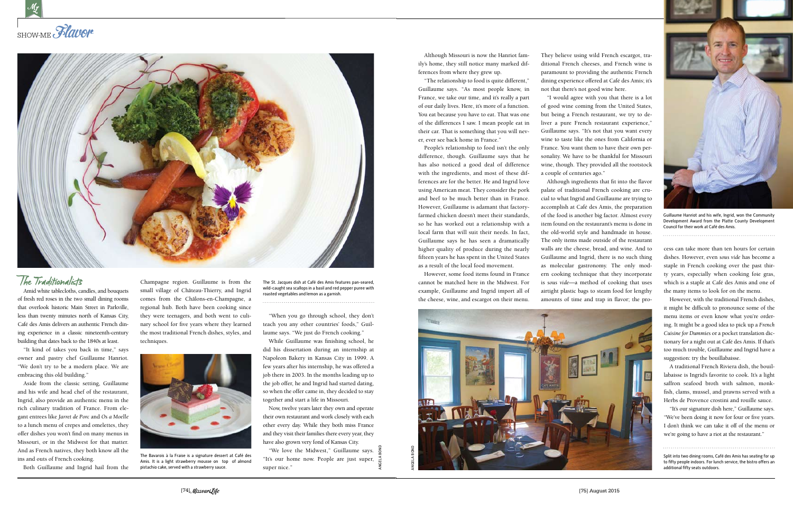



## The Traditionalists

Amid white tablecloths, candles, and bouquets of fresh red roses in the two small dining rooms that overlook historic Main Street in Parkville, less than twenty minutes north of Kansas City, Café des Amis delivers an authentic French dining experience in a classic nineteenth-century building that dates back to the 1840s at least.

"It kind of takes you back in time," says owner and pastry chef Guillaume Hanriot. "We don't try to be a modern place. We are embracing this old building."

Aside from the classic setting, Guillaume and his wife and head chef of the restaurant, Ingrid, also provide an authentic menu in the rich culinary tradition of France. From elegant entrees like *Jarret de Porc* and *Os a Moelle* to a lunch menu of crepes and omelettes, they offer dishes you won't find on many menus in Missouri, or in the Midwest for that matter. And as French natives, they both know all the ins and outs of French cooking.

Both Guillaume and Ingrid hail from the

Champagne region. Guillaume is from the small village of Château-Thierry, and Ingrid comes from the Châlons-en-Champagne, a regional hub. Both have been cooking since they were teenagers, and both went to culinary school for five years where they learned the most traditional French dishes, styles, and techniques.

"When you go through school, they don't teach you any other countries' foods," Guillaume says. "We just do French cooking."

While Guillaume was finishing school, he did his dissertation during an internship at Napoleon Bakery in Kansas City in 1999. A few years after his internship, he was offered a job there in 2003. In the months leading up to the job offer, he and Ingrid had started dating, so when the offer came in, they decided to stay together and start a life in Missouri.

Now, twelve years later they own and operate their own restaurant and work closely with each other every day. While they both miss France and they visit their families there every year, they have also grown very fond of Kansas City.

"We love the Midwest," Guillaume says. "It's our home now. People are just super, super nice."

The St. Jacques dish at Café des Amis features pan-seared, wild-caught sea scallops in a basil and red pepper puree with roasted vegetables and lemon as a garnish.



The Bavarois à la Fraise is a signature dessert at Café des Amis. It is a light strawberry mousse on top of almond pistachio cake, served with a strawberry sauce.

ANGELA BOND

Although Missouri is now the Hanriot family's home, they still notice many marked differences from where they grew up.

"The relationship to food is quite different," Guillaume says. "As most people know, in France, we take our time, and it's really a part of our daily lives. Here, it's more of a function. You eat because you have to eat. That was one of the differences I saw. I mean people eat in their car. That is something that you will never, ever see back home in France."

People's relationship to food isn't the only difference, though. Guillaume says that he has also noticed a good deal of difference with the ingredients, and most of these differences are for the better. He and Ingrid love using American meat. They consider the pork and beef to be much better than in France. However, Guillaume is adamant that factoryfarmed chicken doesn't meet their standards, so he has worked out a relationship with a local farm that will suit their needs. In fact, Guillaume says he has seen a dramatically higher quality of produce during the nearly fifteen years he has spent in the United States as a result of the local food movement.

However, some food items found in France cannot be matched here in the Midwest. For example, Guillaume and Ingrid import all of the cheese, wine, and escargot on their menu.

They believe using wild French escargot, traditional French cheeses, and French wine is paramount to providing the authentic French dining experience offered at Café des Amis; it's not that there's not good wine here.

"I would agree with you that there is a lot of good wine coming from the United States, but being a French restaurant, we try to deliver a pure French restaurant experience," Guillaume says. "It's not that you want every wine to taste like the ones from California or France. You want them to have their own personality. We have to be thankful for Missouri wine, though. They provided all the rootstock a couple of centuries ago."

Although ingredients that fit into the flavor palate of traditional French cooking are crucial to what Ingrid and Guillaume are trying to accomplish at Café des Amis, the preparation of the food is another big factor. Almost every item found on the restaurant's menu is done in the old-world style and handmade in house. The only items made outside of the restaurant walls are the cheese, bread, and wine. And to Guillaume and Ingrid, there is no such thing as molecular gastronomy. The only modern cooking technique that they incorporate is *sous vide*—a method of cooking that uses airtight plastic bags to steam food for lengthy amounts of time and trap in flavor; the pro-

cess can take more than ten hours for certain dishes. However, even *sous vide* has become a staple in French cooking over the past thirty years, especially when cooking foie gras, which is a staple at Café des Amis and one of the many items to look for on the menu.

However, with the traditional French dishes, it might be difficult to pronounce some of the menu items or even know what you're ordering. It might be a good idea to pick up a *French Cuisine for Dummies* or a pocket translation dictionary for a night out at Café des Amis. If that's too much trouble, Guillaume and Ingrid have a suggestion: try the bouillabaisse.

A traditional French Riviera dish, the bouillabaisse is Ingrid's favorite to cook. It's a light saffron seafood broth with salmon, monkfish, clams, mussel, and prawns served with a Herbs de Provence crostini and rouille sauce.

"It's our signature dish here," Guillaume says. "We've been doing it now for four or five years. I don't think we can take it off of the menu or we're going to have a riot at the restaurant."

Split into two dining rooms, Café des Amis has seating for up to fifty people indoors. For lunch service, the bistro offers an additional fifty seats outdoors.



Guillaume Hanriot and his wife, Ingrid, won the Community Development Award from the Platte County Development Council for their work at Café des Amis.